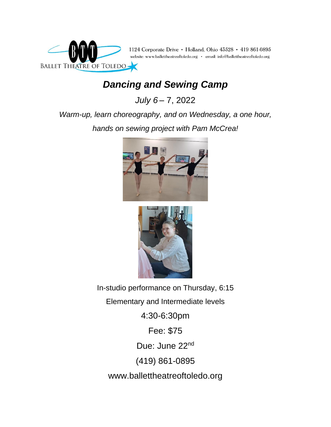

## *Dancing and Sewing Camp*

*July 6* – 7, 2022

*Warm-up, learn choreography, and on Wednesday, a one hour, hands on sewing project with Pam McCrea!*





In-studio performance on Thursday, 6:15

Elementary and Intermediate levels

4:30-6:30pm

Fee: \$75

Due: June 22nd

(419) 861-0895

www.ballettheatreoftoledo.org